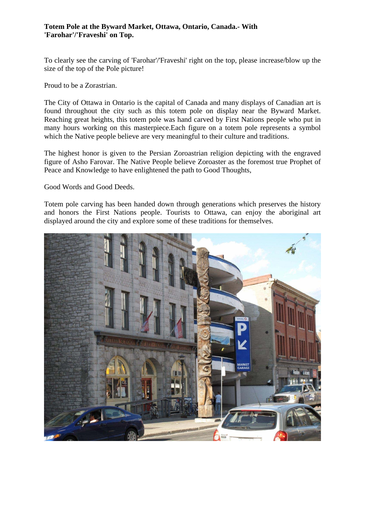## **Totem Pole at the Byward Market, Ottawa, Ontario, Canada.- With 'Farohar'/'Fraveshi' on Top.**

To clearly see the carving of 'Farohar'/'Fraveshi' right on the top, please increase/blow up the size of the top of the Pole picture!

Proud to be a Zorastrian.

The City of Ottawa in Ontario is the capital of Canada and many displays of Canadian art is found throughout the city such as this totem pole on display near the Byward Market. Reaching great heights, this totem pole was hand carved by First Nations people who put in many hours working on this masterpiece.Each figure on a totem pole represents a symbol which the Native people believe are very meaningful to their culture and traditions.

The highest honor is given to the Persian Zoroastrian religion depicting with the engraved figure of Asho Farovar. The Native People believe Zoroaster as the foremost true Prophet of Peace and Knowledge to have enlightened the path to Good Thoughts,

Good Words and Good Deeds.

Totem pole carving has been handed down through generations which preserves the history and honors the First Nations people. Tourists to Ottawa, can enjoy the aboriginal art displayed around the city and explore some of these traditions for themselves.

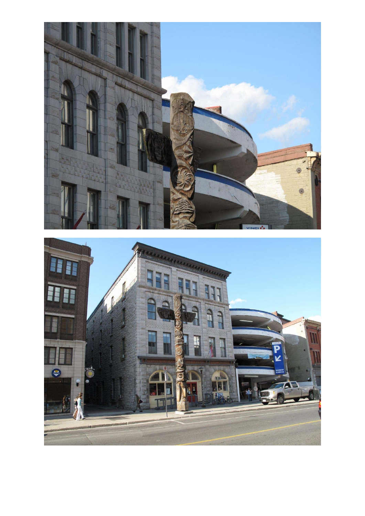